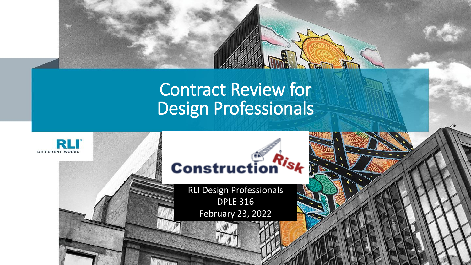#### Contract Review for Design Professionals

**Redistrict** 

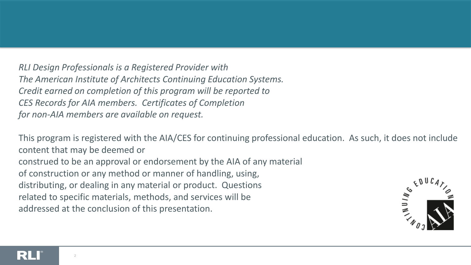*RLI Design Professionals is a Registered Provider with The American Institute of Architects Continuing Education Systems. Credit earned on completion of this program will be reported to CES Records for AIA members. Certificates of Completion for non-AIA members are available on request.*

This program is registered with the AIA/CES for continuing professional education. As such, it does not include content that may be deemed or construed to be an approval or endorsement by the AIA of any material of construction or any method or manner of handling, using, distributing, or dealing in any material or product. Questions related to specific materials, methods, and services will be addressed at the conclusion of this presentation.

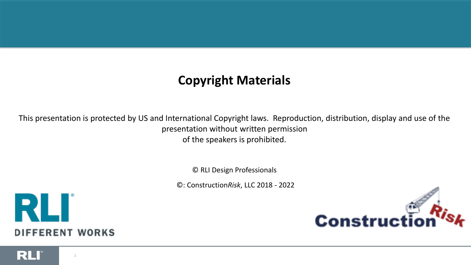#### **Copyright Materials**

This presentation is protected by US and International Copyright laws. Reproduction, distribution, display and use of the presentation without written permission of the speakers is prohibited.

© RLI Design Professionals

©: Construction*Risk*, LLC 2018 - 2022



3



RLI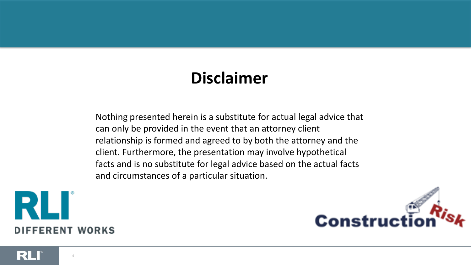#### **Disclaimer**

Nothing presented herein is a substitute for actual legal advice that can only be provided in the event that an attorney client relationship is formed and agreed to by both the attorney and the client. Furthermore, the presentation may involve hypothetical facts and is no substitute for legal advice based on the actual facts and circumstances of a particular situation.



RU

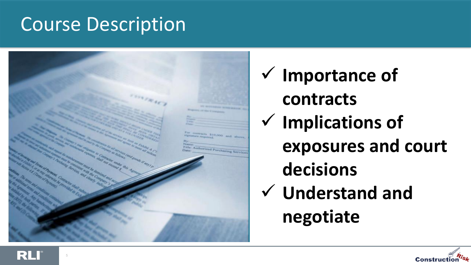#### Course Description

RL



✓ **Importance of contracts** ✓ **Implications of exposures and court decisions** ✓ **Understand and negotiate**

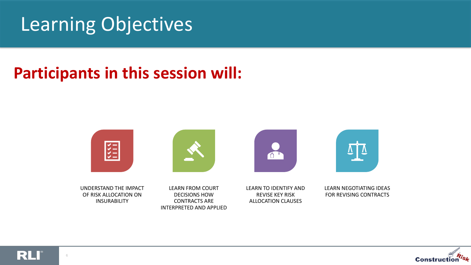#### Learning Objectives

#### **Participants in this session will:**





RLI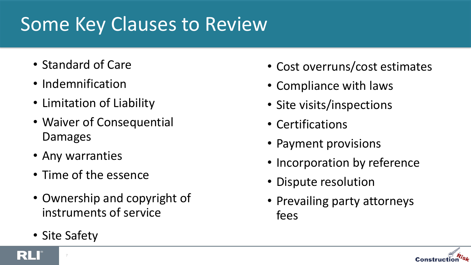## Some Key Clauses to Review

- Standard of Care
- Indemnification
- Limitation of Liability
- Waiver of Consequential Damages
- Any warranties
- Time of the essence
- Ownership and copyright of instruments of service
- Site Safety
- Cost overruns/cost estimates
- Compliance with laws
- Site visits/inspections
- Certifications
- Payment provisions
- Incorporation by reference
- Dispute resolution
- Prevailing party attorneys fees



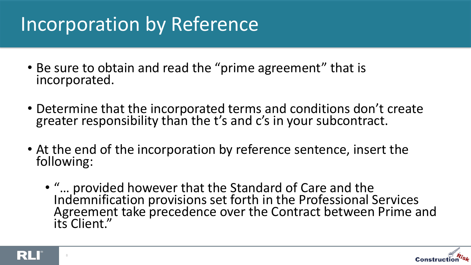## Incorporation by Reference

- Be sure to obtain and read the "prime agreement" that is incorporated.
- Determine that the incorporated terms and conditions don't create greater responsibility than the t's and c's in your subcontract.
- At the end of the incorporation by reference sentence, insert the following:
	- "… provided however that the Standard of Care and the Indemnification provisions set forth in the Professional Services Agreement take precedence over the Contract between Prime and its Client."



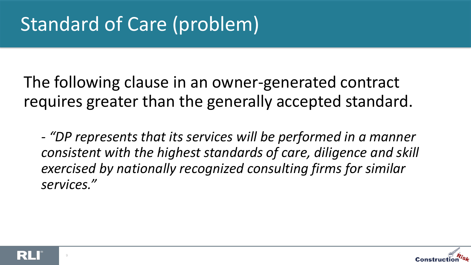# Standard of Care (problem)

The following clause in an owner-generated contract requires greater than the generally accepted standard.

*- "DP represents that its services will be performed in a manner consistent with the highest standards of care, diligence and skill exercised by nationally recognized consulting firms for similar services."*



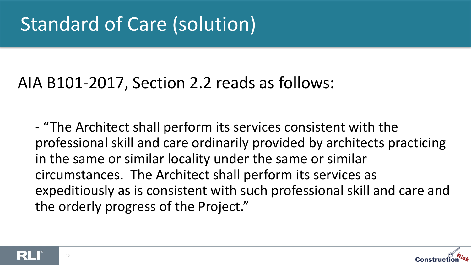## Standard of Care (solution)

#### AIA B101-2017, Section 2.2 reads as follows:

- "The Architect shall perform its services consistent with the professional skill and care ordinarily provided by architects practicing in the same or similar locality under the same or similar circumstances. The Architect shall perform its services as expeditiously as is consistent with such professional skill and care and the orderly progress of the Project."



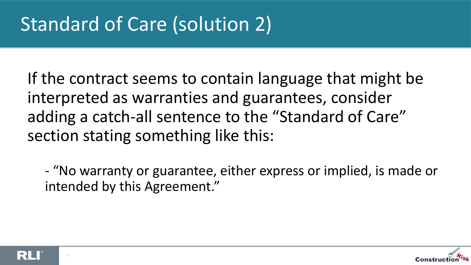If the contract seems to contain language that might be interpreted as warranties and guarantees, consider adding a catch-all sentence to the "Standard of Care" section stating something like this:

- "No warranty or guarantee, either express or implied, is made or intended by this Agreement."



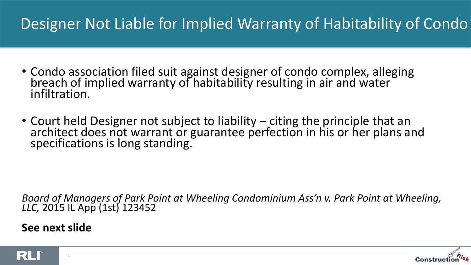#### Designer Not Liable for Implied Warranty of Habitability of Condo

- Condo association filed suit against designer of condo complex, alleging breach of implied warranty of habitability resulting in air and water infiltration.
- Court held Designer not subject to liability citing the principle that an architect does not warrant or guarantee perfection in his or her plans and specifications is long standing.

*Board of Managers of Park Point at Wheeling Condominium Ass'n v. Park Point at Wheeling, LLC,* 2015 IL App (1st) 123452

**See next slide**

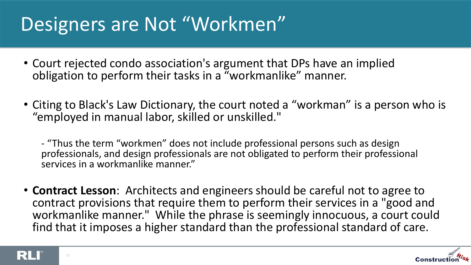## Designers are Not "Workmen"

- Court rejected condo association's argument that DPs have an implied obligation to perform their tasks in a "workmanlike" manner.
- Citing to Black's Law Dictionary, the court noted a "workman" is a person who is "employed in manual labor, skilled or unskilled."
	- "Thus the term "workmen" does not include professional persons such as design professionals, and design professionals are not obligated to perform their professional services in a workmanlike manner."
- **Contract Lesson**: Architects and engineers should be careful not to agree to contract provisions that require them to perform their services in a "good and workmanlike manner." While the phrase is seemingly innocuous, a court could find that it imposes a higher standard than the professional standard of care.



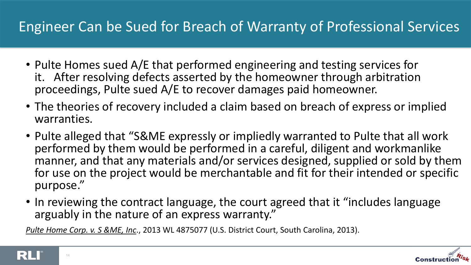#### Engineer Can be Sued for Breach of Warranty of Professional Services

- Pulte Homes sued A/E that performed engineering and testing services for it. After resolving defects asserted by the homeowner through arbitration proceedings, Pulte sued A/E to recover damages paid homeowner.
- The theories of recovery included a claim based on breach of express or implied warranties.
- Pulte alleged that "S&ME expressly or impliedly warranted to Pulte that all work performed by them would be performed in a careful, diligent and workmanlike manner, and that any materials and/or services designed, supplied or sold by them for use on the project would be merchantable and fit for their intended or specific purpose."
- In reviewing the contract language, the court agreed that it "includes language arguably in the nature of an express warranty."

*Pulte Home Corp. v. S &ME, Inc*., 2013 WL 4875077 (U.S. District Court, South Carolina, 2013).



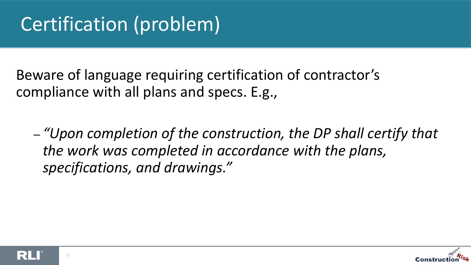Beware of language requiring certification of contractor's compliance with all plans and specs. E.g.,

– *"Upon completion of the construction, the DP shall certify that the work was completed in accordance with the plans, specifications, and drawings."*





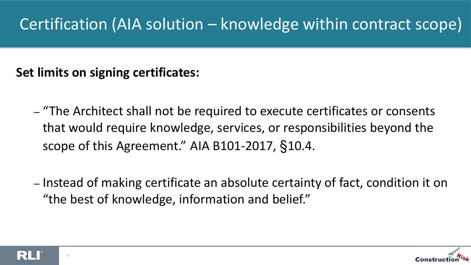#### Certification (AIA solution – knowledge within contract scope)

#### **Set limits on signing certificates:**

- "The Architect shall not be required to execute certificates or consents that would require knowledge, services, or responsibilities beyond the scope of this Agreement." AIA B101-2017, §10.4.
- Instead of making certificate an absolute certainty of fact, condition it on "the best of knowledge, information and belief."



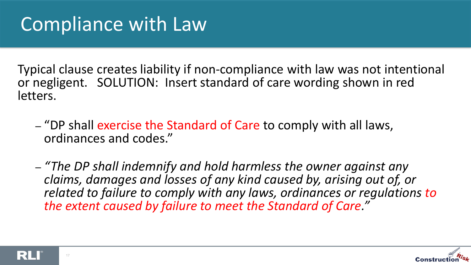Typical clause creates liability if non-compliance with law was not intentional or negligent. SOLUTION: Insert standard of care wording shown in red letters.

- "DP shall exercise the Standard of Care to comply with all laws, ordinances and codes."
- *"The DP shall indemnify and hold harmless the owner against any claims, damages and losses of any kind caused by, arising out of, or*  related to failure to comply with any laws, ordinances or requlations to *the extent caused by failure to meet the Standard of Care."*



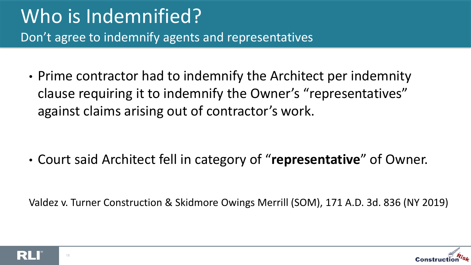#### Who is Indemnified? Don't agree to indemnify agents and representatives

• Prime contractor had to indemnify the Architect per indemnity clause requiring it to indemnify the Owner's "representatives" against claims arising out of contractor's work.

• Court said Architect fell in category of "**representative**" of Owner.

Valdez v. Turner Construction & Skidmore Owings Merrill (SOM), 171 A.D. 3d. 836 (NY 2019)



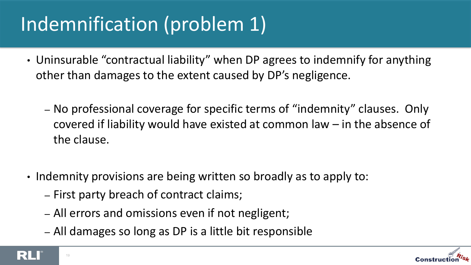# Indemnification (problem 1)

- Uninsurable "contractual liability" when DP agrees to indemnify for anything other than damages to the extent caused by DP's negligence.
	- No professional coverage for specific terms of "indemnity" clauses. Only covered if liability would have existed at common law – in the absence of the clause.
- Indemnity provisions are being written so broadly as to apply to:
	- First party breach of contract claims;
	- All errors and omissions even if not negligent;
	- All damages so long as DP is a little bit responsible



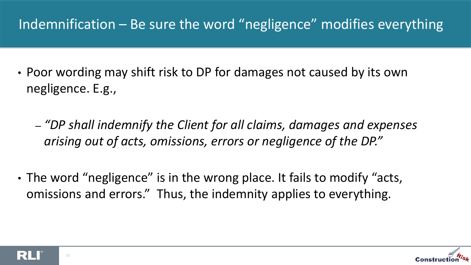#### Indemnification – Be sure the word "negligence" modifies everything

- Poor wording may shift risk to DP for damages not caused by its own negligence. E.g.,
	- *"DP shall indemnify the Client for all claims, damages and expenses arising out of acts, omissions, errors or negligence of the DP."*
- The word "negligence" is in the wrong place. It fails to modify "acts, omissions and errors." Thus, the indemnity applies to everything.



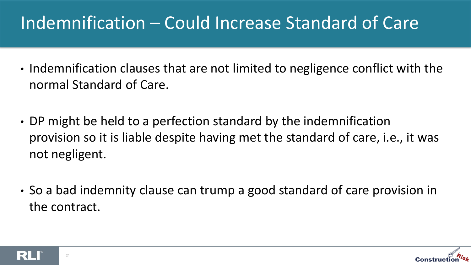#### Indemnification – Could Increase Standard of Care

- Indemnification clauses that are not limited to negligence conflict with the normal Standard of Care.
- DP might be held to a perfection standard by the indemnification provision so it is liable despite having met the standard of care, i.e., it was not negligent.
- So a bad indemnity clause can trump a good standard of care provision in the contract.

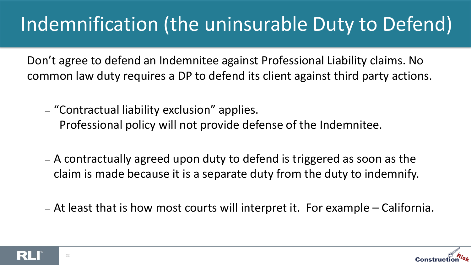# Indemnification (the uninsurable Duty to Defend)

Don't agree to defend an Indemnitee against Professional Liability claims. No common law duty requires a DP to defend its client against third party actions.

– "Contractual liability exclusion" applies.

Professional policy will not provide defense of the Indemnitee.

- A contractually agreed upon duty to defend is triggered as soon as the claim is made because it is a separate duty from the duty to indemnify.
- At least that is how most courts will interpret it. For example California.

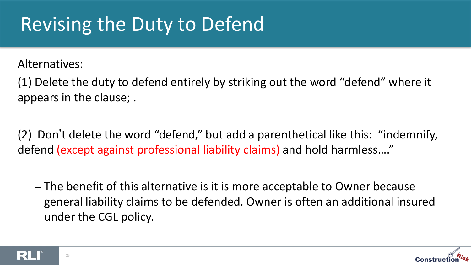## Revising the Duty to Defend

Alternatives:

(1) Delete the duty to defend entirely by striking out the word "defend" where it appears in the clause; .

(2) Don't delete the word "defend," but add a parenthetical like this: "indemnify, defend (except against professional liability claims) and hold harmless…."

– The benefit of this alternative is it is more acceptable to Owner because general liability claims to be defended. Owner is often an additional insured under the CGL policy.

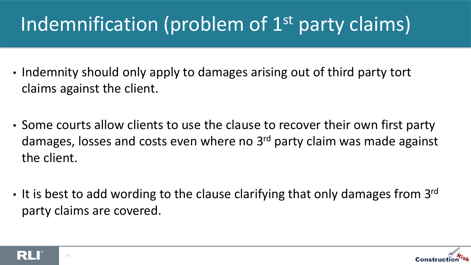# Indemnification (problem of 1<sup>st</sup> party claims)

- Indemnity should only apply to damages arising out of third party tort claims against the client.
- Some courts allow clients to use the clause to recover their own first party damages, losses and costs even where no 3<sup>rd</sup> party claim was made against the client.
- It is best to add wording to the clause clarifying that only damages from  $3^{\text{rd}}$ party claims are covered.



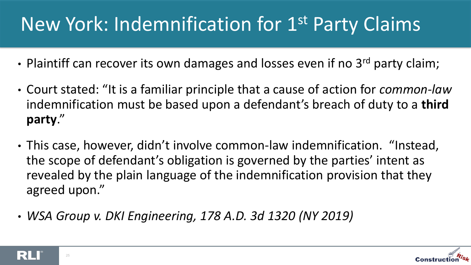## New York: Indemnification for 1st Party Claims

- Plaintiff can recover its own damages and losses even if no 3<sup>rd</sup> party claim;
- Court stated: "It is a familiar principle that a cause of action for *common-law* indemnification must be based upon a defendant's breach of duty to a **third party**."
- This case, however, didn't involve common-law indemnification. "Instead, the scope of defendant's obligation is governed by the parties' intent as revealed by the plain language of the indemnification provision that they agreed upon."
- *WSA Group v. DKI Engineering, 178 A.D. 3d 1320 (NY 2019)*



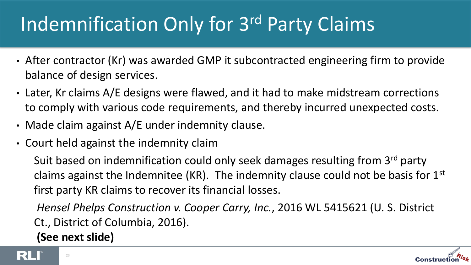# Indemnification Only for 3rd Party Claims

- After contractor (Kr) was awarded GMP it subcontracted engineering firm to provide balance of design services.
- Later, Kr claims A/E designs were flawed, and it had to make midstream corrections to comply with various code requirements, and thereby incurred unexpected costs.
- Made claim against A/E under indemnity clause.
- Court held against the indemnity claim

Suit based on indemnification could only seek damages resulting from 3rd party claims against the Indemnitee (KR). The indemnity clause could not be basis for  $1<sup>st</sup>$ first party KR claims to recover its financial losses.

*Hensel Phelps Construction v. Cooper Carry, Inc.*, 2016 WL 5415621 (U. S. District Ct., District of Columbia, 2016).

**(See next slide)**



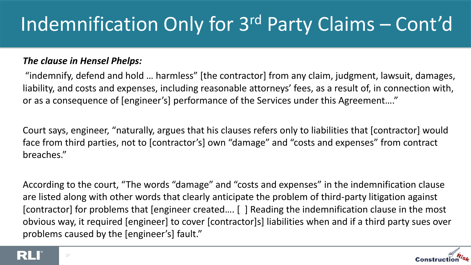# Indemnification Only for 3rd Party Claims – Cont'd

#### *The clause in Hensel Phelps:*

"indemnify, defend and hold … harmless" [the contractor] from any claim, judgment, lawsuit, damages, liability, and costs and expenses, including reasonable attorneys' fees, as a result of, in connection with, or as a consequence of [engineer's] performance of the Services under this Agreement…."

Court says, engineer, "naturally, argues that his clauses refers only to liabilities that [contractor] would face from third parties, not to [contractor's] own "damage" and "costs and expenses" from contract breaches."

According to the court, "The words "damage" and "costs and expenses" in the indemnification clause are listed along with other words that clearly anticipate the problem of third-party litigation against [contractor] for problems that [engineer created…. [ ] Reading the indemnification clause in the most obvious way, it required [engineer] to cover [contractor]s] liabilities when and if a third party sues over problems caused by the [engineer's] fault."



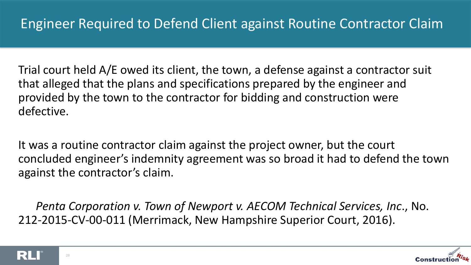Trial court held A/E owed its client, the town, a defense against a contractor suit that alleged that the plans and specifications prepared by the engineer and provided by the town to the contractor for bidding and construction were defective.

It was a routine contractor claim against the project owner, but the court concluded engineer's indemnity agreement was so broad it had to defend the town against the contractor's claim.

*Penta Corporation v. Town of Newport v. AECOM Technical Services, Inc*., No. 212-2015-CV-00-011 (Merrimack, New Hampshire Superior Court, 2016).



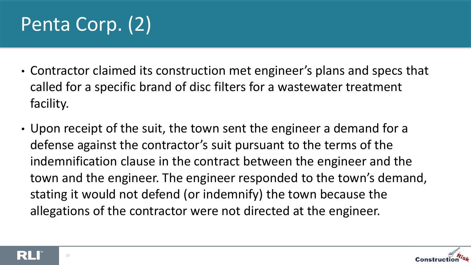# Penta Corp. (2)

- Contractor claimed its construction met engineer's plans and specs that called for a specific brand of disc filters for a wastewater treatment facility.
- Upon receipt of the suit, the town sent the engineer a demand for a defense against the contractor's suit pursuant to the terms of the indemnification clause in the contract between the engineer and the town and the engineer. The engineer responded to the town's demand, stating it would not defend (or indemnify) the town because the allegations of the contractor were not directed at the engineer.



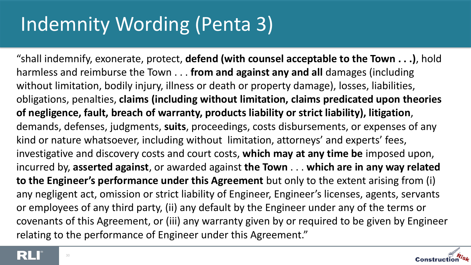## Indemnity Wording (Penta 3)

"shall indemnify, exonerate, protect, **defend (with counsel acceptable to the Town . . .)**, hold harmless and reimburse the Town . . . **from and against any and all** damages (including without limitation, bodily injury, illness or death or property damage), losses, liabilities, obligations, penalties, **claims (including without limitation, claims predicated upon theories of negligence, fault, breach of warranty, products liability or strict liability), litigation**, demands, defenses, judgments, **suits**, proceedings, costs disbursements, or expenses of any kind or nature whatsoever, including without limitation, attorneys' and experts' fees, investigative and discovery costs and court costs, **which may at any time be** imposed upon, incurred by, **asserted against**, or awarded against **the Town** . . . **which are in any way related to the Engineer's performance under this Agreement** but only to the extent arising from (i) any negligent act, omission or strict liability of Engineer, Engineer's licenses, agents, servants or employees of any third party, (ii) any default by the Engineer under any of the terms or covenants of this Agreement, or (iii) any warranty given by or required to be given by Engineer relating to the performance of Engineer under this Agreement."



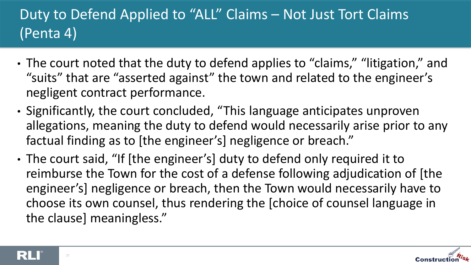#### Duty to Defend Applied to "ALL" Claims – Not Just Tort Claims (Penta 4)

- The court noted that the duty to defend applies to "claims," "litigation," and "suits" that are "asserted against" the town and related to the engineer's negligent contract performance.
- Significantly, the court concluded, "This language anticipates unproven allegations, meaning the duty to defend would necessarily arise prior to any factual finding as to [the engineer's] negligence or breach."
- The court said, "If [the engineer's] duty to defend only required it to reimburse the Town for the cost of a defense following adjudication of [the engineer's] negligence or breach, then the Town would necessarily have to choose its own counsel, thus rendering the [choice of counsel language in the clause] meaningless."



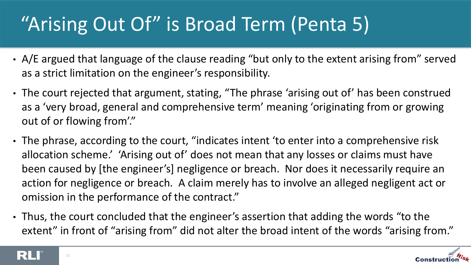# "Arising Out Of" is Broad Term (Penta 5)

- A/E argued that language of the clause reading "but only to the extent arising from" served as a strict limitation on the engineer's responsibility.
- The court rejected that argument, stating, "The phrase 'arising out of' has been construed as a 'very broad, general and comprehensive term' meaning 'originating from or growing out of or flowing from'."
- The phrase, according to the court, "indicates intent 'to enter into a comprehensive risk allocation scheme.' 'Arising out of' does not mean that any losses or claims must have been caused by [the engineer's] negligence or breach. Nor does it necessarily require an action for negligence or breach. A claim merely has to involve an alleged negligent act or omission in the performance of the contract."
- Thus, the court concluded that the engineer's assertion that adding the words "to the extent" in front of "arising from" did not alter the broad intent of the words "arising from."



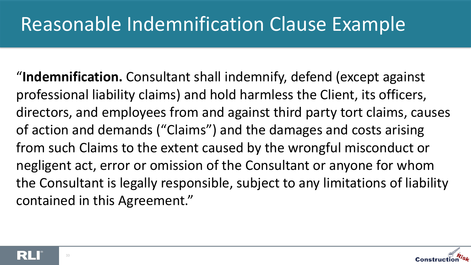### Reasonable Indemnification Clause Example

"**Indemnification.** Consultant shall indemnify, defend (except against professional liability claims) and hold harmless the Client, its officers, directors, and employees from and against third party tort claims, causes of action and demands ("Claims") and the damages and costs arising from such Claims to the extent caused by the wrongful misconduct or negligent act, error or omission of the Consultant or anyone for whom the Consultant is legally responsible, subject to any limitations of liability contained in this Agreement."



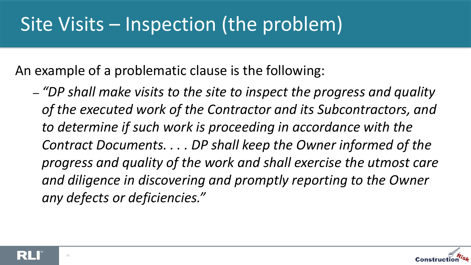## Site Visits – Inspection (the problem)

An example of a problematic clause is the following:

– *"DP shall make visits to the site to inspect the progress and quality of the executed work of the Contractor and its Subcontractors, and to determine if such work is proceeding in accordance with the Contract Documents. . . . DP shall keep the Owner informed of the progress and quality of the work and shall exercise the utmost care and diligence in discovering and promptly reporting to the Owner any defects or deficiencies."*

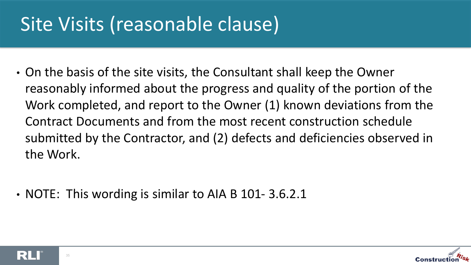## Site Visits (reasonable clause)

- On the basis of the site visits, the Consultant shall keep the Owner reasonably informed about the progress and quality of the portion of the Work completed, and report to the Owner (1) known deviations from the Contract Documents and from the most recent construction schedule submitted by the Contractor, and (2) defects and deficiencies observed in the Work.
- NOTE: This wording is similar to AIA B 101-3.6.2.1



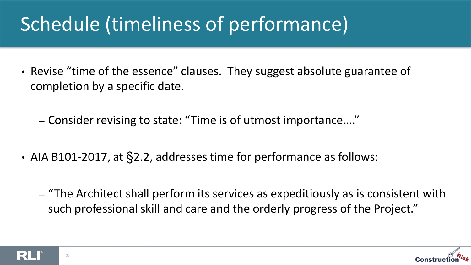# Schedule (timeliness of performance)

• Revise "time of the essence" clauses. They suggest absolute guarantee of completion by a specific date.

– Consider revising to state: "Time is of utmost importance…."

- AIA B101-2017, at §2.2, addresses time for performance as follows:
	- "The Architect shall perform its services as expeditiously as is consistent with such professional skill and care and the orderly progress of the Project."



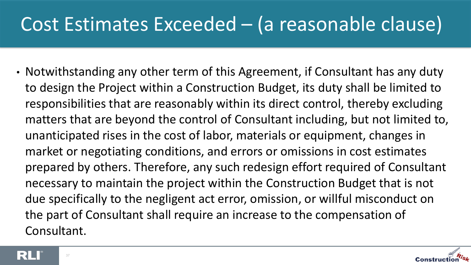#### Cost Estimates Exceeded – (a reasonable clause)

• Notwithstanding any other term of this Agreement, if Consultant has any duty to design the Project within a Construction Budget, its duty shall be limited to responsibilities that are reasonably within its direct control, thereby excluding matters that are beyond the control of Consultant including, but not limited to, unanticipated rises in the cost of labor, materials or equipment, changes in market or negotiating conditions, and errors or omissions in cost estimates prepared by others. Therefore, any such redesign effort required of Consultant necessary to maintain the project within the Construction Budget that is not due specifically to the negligent act error, omission, or willful misconduct on the part of Consultant shall require an increase to the compensation of Consultant.



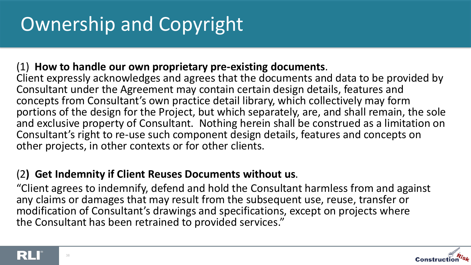#### (1) **How to handle our own proprietary pre-existing documents**.

Client expressly acknowledges and agrees that the documents and data to be provided by Consultant under the Agreement may contain certain design details, features and concepts from Consultant's own practice detail library, which collectively may form portions of the design for the Project, but which separately, are, and shall remain, the sole and exclusive property of Consultant. Nothing herein shall be construed as a limitation on Consultant's right to re-use such component design details, features and concepts on other projects, in other contexts or for other clients.

#### (2**) Get Indemnity if Client Reuses Documents without us**.

"Client agrees to indemnify, defend and hold the Consultant harmless from and against any claims or damages that may result from the subsequent use, reuse, transfer or modification of Consultant's drawings and specifications, except on projects where the Consultant has been retrained to provided services."



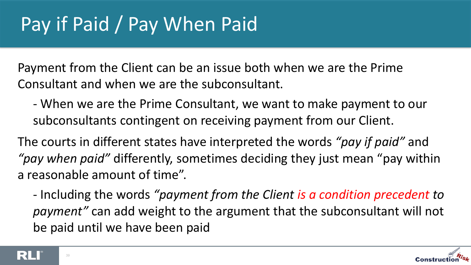Payment from the Client can be an issue both when we are the Prime Consultant and when we are the subconsultant.

- When we are the Prime Consultant, we want to make payment to our subconsultants contingent on receiving payment from our Client.

The courts in different states have interpreted the words *"pay if paid"* and *"pay when paid"* differently, sometimes deciding they just mean "pay within a reasonable amount of time".

- Including the words *"payment from the Client is a condition precedent to payment"* can add weight to the argument that the subconsultant will not be paid until we have been paid



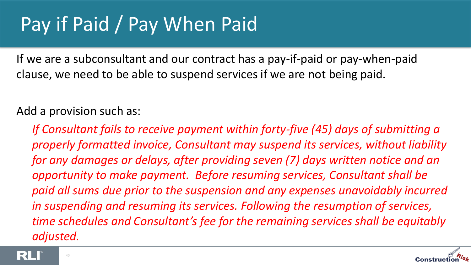## Pay if Paid / Pay When Paid

If we are a subconsultant and our contract has a pay-if-paid or pay-when-paid clause, we need to be able to suspend services if we are not being paid.

#### Add a provision such as:

*If Consultant fails to receive payment within forty-five (45) days of submitting a properly formatted invoice, Consultant may suspend its services, without liability for any damages or delays, after providing seven (7) days written notice and an opportunity to make payment. Before resuming services, Consultant shall be paid all sums due prior to the suspension and any expenses unavoidably incurred in suspending and resuming its services. Following the resumption of services, time schedules and Consultant's fee for the remaining services shall be equitably adjusted.*



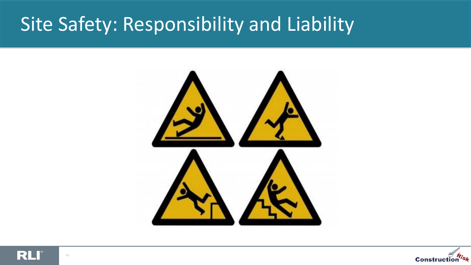#### Site Safety: Responsibility and Liability





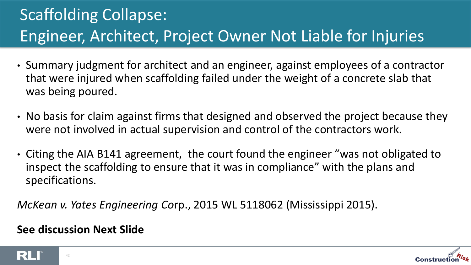#### Scaffolding Collapse: Engineer, Architect, Project Owner Not Liable for Injuries

- Summary judgment for architect and an engineer, against employees of a contractor that were injured when scaffolding failed under the weight of a concrete slab that was being poured.
- No basis for claim against firms that designed and observed the project because they were not involved in actual supervision and control of the contractors work.
- Citing the AIA B141 agreement, the court found the engineer "was not obligated to inspect the scaffolding to ensure that it was in compliance" with the plans and specifications.

*McKean v. Yates Engineering Co*rp., 2015 WL 5118062 (Mississippi 2015).

#### **See discussion Next Slide**



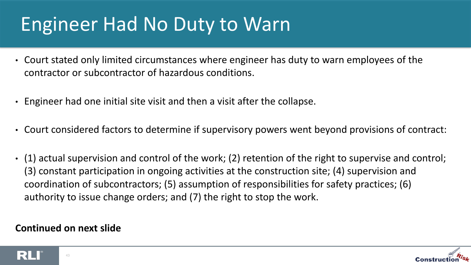## Engineer Had No Duty to Warn

- Court stated only limited circumstances where engineer has duty to warn employees of the contractor or subcontractor of hazardous conditions.
- Engineer had one initial site visit and then a visit after the collapse.
- Court considered factors to determine if supervisory powers went beyond provisions of contract:
- (1) actual supervision and control of the work; (2) retention of the right to supervise and control; (3) constant participation in ongoing activities at the construction site; (4) supervision and coordination of subcontractors; (5) assumption of responsibilities for safety practices; (6) authority to issue change orders; and (7) the right to stop the work.

#### **Continued on next slide**



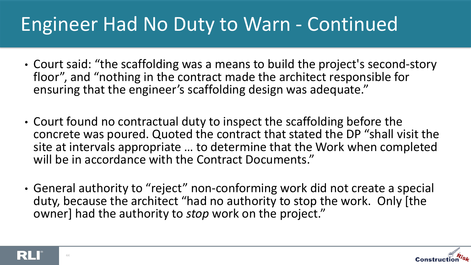### Engineer Had No Duty to Warn - Continued

- Court said: "the scaffolding was a means to build the project's second-story floor", and "nothing in the contract made the architect responsible for ensuring that the engineer's scaffolding design was adequate."
- Court found no contractual duty to inspect the scaffolding before the concrete was poured. Quoted the contract that stated the DP "shall visit the site at intervals appropriate … to determine that the Work when completed will be in accordance with the Contract Documents."
- General authority to "reject" non-conforming work did not create a special duty, because the architect "had no authority to stop the work. Only [the owner] had the authority to *stop* work on the project."



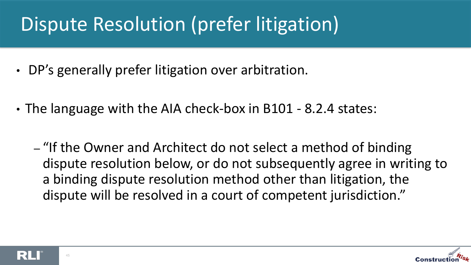## Dispute Resolution (prefer litigation)

- DP's generally prefer litigation over arbitration.
- The language with the AIA check-box in B101 8.2.4 states:
	- "If the Owner and Architect do not select a method of binding dispute resolution below, or do not subsequently agree in writing to a binding dispute resolution method other than litigation, the dispute will be resolved in a court of competent jurisdiction."



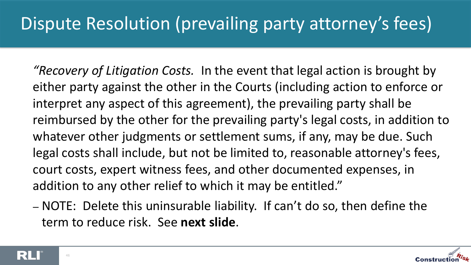#### Dispute Resolution (prevailing party attorney's fees)

*"Recovery of Litigation Costs.* In the event that legal action is brought by either party against the other in the Courts (including action to enforce or interpret any aspect of this agreement), the prevailing party shall be reimbursed by the other for the prevailing party's legal costs, in addition to whatever other judgments or settlement sums, if any, may be due. Such legal costs shall include, but not be limited to, reasonable attorney's fees, court costs, expert witness fees, and other documented expenses, in addition to any other relief to which it may be entitled."

– NOTE: Delete this uninsurable liability. If can't do so, then define the term to reduce risk. See **next slide**.

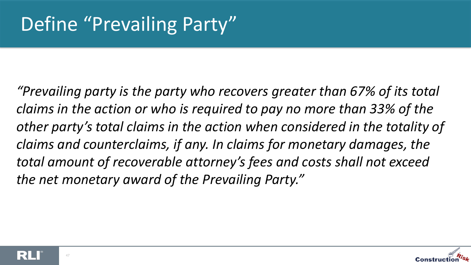*"Prevailing party is the party who recovers greater than 67% of its total claims in the action or who is required to pay no more than 33% of the other party's total claims in the action when considered in the totality of claims and counterclaims, if any. In claims for monetary damages, the total amount of recoverable attorney's fees and costs shall not exceed the net monetary award of the Prevailing Party."*



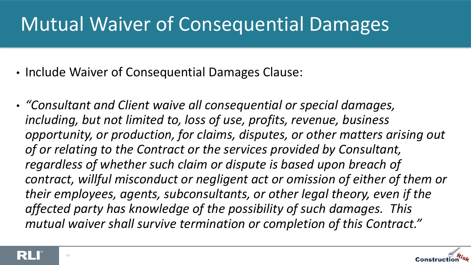## Mutual Waiver of Consequential Damages

- Include Waiver of Consequential Damages Clause:
- *"Consultant and Client waive all consequential or special damages, including, but not limited to, loss of use, profits, revenue, business opportunity, or production, for claims, disputes, or other matters arising out of or relating to the Contract or the services provided by Consultant, regardless of whether such claim or dispute is based upon breach of contract, willful misconduct or negligent act or omission of either of them or their employees, agents, subconsultants, or other legal theory, even if the affected party has knowledge of the possibility of such damages. This mutual waiver shall survive termination or completion of this Contract."*



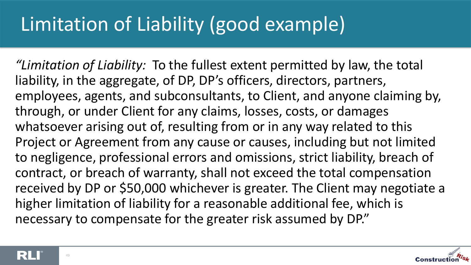# Limitation of Liability (good example)

*"Limitation of Liability:* To the fullest extent permitted by law, the total liability, in the aggregate, of DP, DP's officers, directors, partners, employees, agents, and subconsultants, to Client, and anyone claiming by, through, or under Client for any claims, losses, costs, or damages whatsoever arising out of, resulting from or in any way related to this Project or Agreement from any cause or causes, including but not limited to negligence, professional errors and omissions, strict liability, breach of contract, or breach of warranty, shall not exceed the total compensation received by DP or \$50,000 whichever is greater. The Client may negotiate a higher limitation of liability for a reasonable additional fee, which is necessary to compensate for the greater risk assumed by DP."